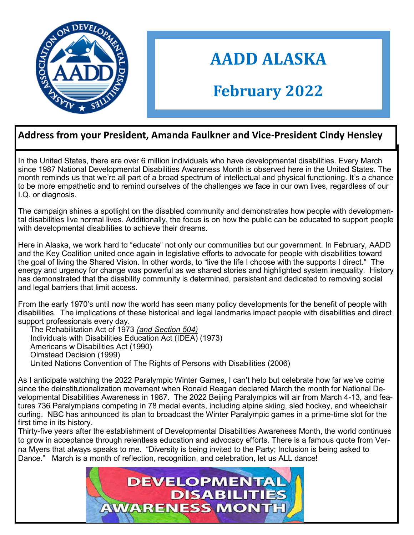

# **AADD ALASKA**

## **February 2022**

#### **Address from your President, Amanda Faulkner and Vice-President Cindy Hensley**

In the United States, there are over 6 million individuals who have developmental disabilities. Every March since 1987 National Developmental Disabilities Awareness Month is observed here in the United States. The month reminds us that we're all part of a broad spectrum of intellectual and physical functioning. It's a chance to be more empathetic and to remind ourselves of the challenges we face in our own lives, regardless of our I.Q. or diagnosis.

The campaign shines a spotlight on the disabled community and demonstrates how people with developmental disabilities live normal lives. Additionally, the focus is on how the public can be educated to support people with developmental disabilities to achieve their dreams.

Here in Alaska, we work hard to "educate" not only our communities but our government. In February, AADD and the Key Coalition united once again in legislative efforts to advocate for people with disabilities toward the goal of living the Shared Vision. In other words, to "live the life I choose with the supports I direct." The energy and urgency for change was powerful as we shared stories and highlighted system inequality. History has demonstrated that the disability community is determined, persistent and dedicated to removing social and legal barriers that limit access.

From the early 1970's until now the world has seen many policy developments for the benefit of people with disabilities. The implications of these historical and legal landmarks impact people with disabilities and direct support professionals every day.

The Rehabilitation Act of 1973 *(and Section 504)* Individuals with Disabilities Education Act (IDEA) (1973) Americans w Disabilities Act (1990) Olmstead Decision (1999) United Nations Convention of The Rights of Persons with Disabilities (2006)

As I anticipate watching the 2022 Paralympic Winter Games, I can't help but celebrate how far we've come since the deinstitutionalization movement when Ronald Reagan declared March the month for National Developmental Disabilities Awareness in 1987. The 2022 Beijing Paralympics will air from March 4-13, and features 736 Paralympians competing in 78 medal events, including alpine skiing, sled hockey, and wheelchair curling. NBC has announced its plan to broadcast the Winter Paralympic games in a prime-time slot for the first time in its history.

Thirty-five years after the establishment of Developmental Disabilities Awareness Month, the world continues to grow in acceptance through relentless education and advocacy efforts. There is a famous quote from Verna Myers that always speaks to me. "Diversity is being invited to the Party; Inclusion is being asked to Dance." March is a month of reflection, recognition, and celebration, let us ALL dance!